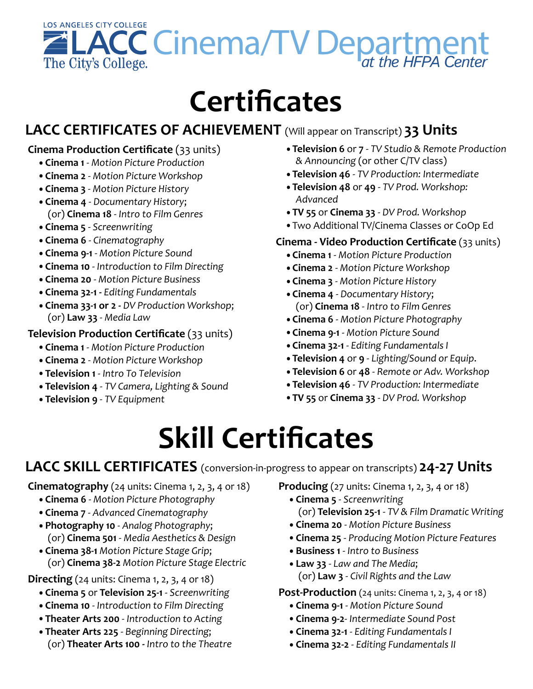

# **Certificates**

## LACC CERTIFICATES OF ACHIEVEMENT (Will appear on Transcript) **33 Units**

#### **Cinema Production Certificate** (33 units)

- •**Cinema 1** - *Motion Picture Production*
- Cinema 2 Motion Picture Workshop
- Cinema 3 Motion Picture History
- Cinema 4 Documentary History; (or) **Cinema 18** - *Intro to Film Genres*
- Cinema 5 Screenwriting
- Cinema 6 Cinematography
- Cinema 9-1 Motion Picture Sound
- •**Cinema 10** - *Introduction to Film Directing*
- •**Cinema 20** - *Motion Picture Business*
- •**Cinema 32-1 -** *Editing Fundamentals*
- Cinema 33-1 or 2 DV Production Workshop; (or) **Law 33** - *Media Law*

#### **Television Production Certificate** (33 units)

- •**Cinema 1** - *Motion Picture Production*
- Cinema 2 Motion Picture Workshop
- •**Television 1** - *Intro To Television*
- Television 4 TV Camera, Lighting & Sound
- **Television 9** *TV* Equipment
- •**Television 6** or **7** - *TV Studio & Remote Production & Announcing* (or other C/TV class)
- Television 46 TV Production: Intermediate
- Television 48 or 49 TV Prod. Workshop: *Advanced*
- **TV** 55 or Cinema 33 DV Prod. Workshop
- Two Additional TV/Cinema Classes or CoOp Ed

#### **Cinema - Video Production Certificate** (33 units)

- •**Cinema 1** - *Motion Picture Production*
- Cinema 2 Motion Picture Workshop
- Cinema 3 Motion Picture History
- •**Cinema 4** - *Documentary History*; (or) **Cinema 18** - *Intro to Film Genres*
- **Cinema 6** Motion Picture Photography
- **Cinema 9-1** Motion Picture Sound
- Cinema 32-1 Editing Fundamentals I
- •**Television 4** or **9** - *Lighting/Sound or Equip*.
- **Television 6** or 48 Remote or Adv. Workshop
- •**Television 46** - *TV Production: Intermediate*
- •**TV 55** or **Cinema 33** - *DV Prod. Workshop*

# **Skill Certificates**

### LACC SKILL CERTIFICATES (conversion-in-progress to appear on transcripts) 24-27 Units

**Cinematography** (24 units: Cinema 1, 2, 3, 4 or 18)

- **Cinema 6** Motion Picture Photography
- **Cinema 7** Advanced Cinematography
- •**Photography 10** - *Analog Photography*; (or) **Cinema 501** - *Media Aesthetics & Design*
- •**Cinema 38-1** *Motion Picture Stage Grip*; (or) **Cinema 38-2** *Motion Picture Stage Electric*

**Directing**  $(24 \text{ units:} \text{Cinema } 1, 2, 3, 4 \text{ or } 18)$ 

- •**Cinema 5** or **Television 25-1** - *Screenwriting*
- **Cinema 10** Introduction to Film Directing
- **Theater Arts 200** Introduction to Acting
- Theater Arts 225 Beginning Directing; (or) **Theater Arts 100 -** *Intro to the Theatre*

**Producing** (27 units: Cinema 1, 2, 3, 4 or 18)

- Cinema 5 Screenwriting (or) **Television 25-1** - *TV & Film Dramatic Writing*
- •**Cinema 20** - *Motion Picture Business*
- •**Cinema 25** - *Producing Motion Picture Features*
- •**Business 1** - *Intro to Business*
- Law 33 Law and The Media; (or) **Law 3** - *Civil Rights and the Law*

**Post-Production** (24 units: Cinema 1, 2, 3, 4 or 18)

- Cinema 9-1 Motion Picture Sound
- •**Cinema 9-2**- *Intermediate Sound Post*
- Cinema 32-1 Editing Fundamentals I
- Cinema 32-2 Editing Fundamentals II